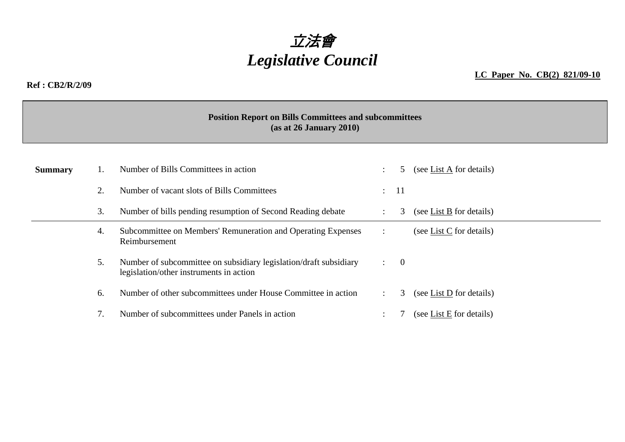

## **Ref : CB2/R/2/09**

**LC Paper No. CB(2) 821/09-10**

## **Position Report on Bills Committees and subcommittees (as at 26 January 2010)**

| <b>Summary</b> |    | Number of Bills Committees in action                                                                         | 5 |                  | (see List A for details) |
|----------------|----|--------------------------------------------------------------------------------------------------------------|---|------------------|--------------------------|
|                |    | Number of vacant slots of Bills Committees                                                                   |   | $\therefore$ 11  |                          |
|                | 3. | Number of bills pending resumption of Second Reading debate                                                  |   | 3                | (see List B for details) |
|                | 4. | Subcommittee on Members' Remuneration and Operating Expenses<br>Reimbursement                                | ÷ |                  | (see List C for details) |
|                | 5. | Number of subcommittee on subsidiary legislation/draft subsidiary<br>legislation/other instruments in action |   | $\colon \quad 0$ |                          |
|                | 6. | Number of other subcommittees under House Committee in action                                                |   | 3                | (see List D for details) |
|                |    | Number of subcommittees under Panels in action                                                               |   |                  | (see List E for details) |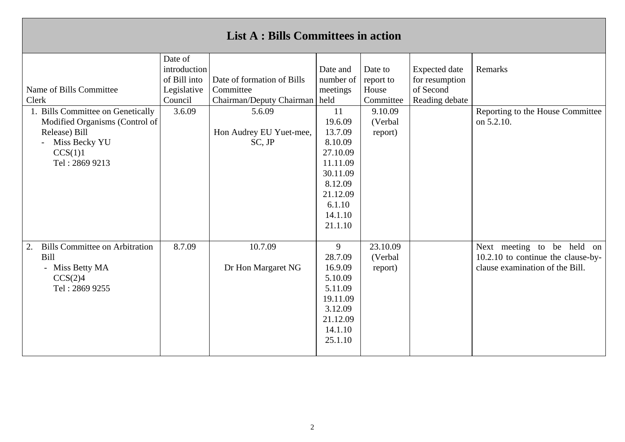| <b>List A : Bills Committees in action</b>                                                                                         |                                                                   |                                                                     |                                                                                                                                |                                            |                                                                       |                                                                                                     |  |  |
|------------------------------------------------------------------------------------------------------------------------------------|-------------------------------------------------------------------|---------------------------------------------------------------------|--------------------------------------------------------------------------------------------------------------------------------|--------------------------------------------|-----------------------------------------------------------------------|-----------------------------------------------------------------------------------------------------|--|--|
| Name of Bills Committee<br>Clerk                                                                                                   | Date of<br>introduction<br>of Bill into<br>Legislative<br>Council | Date of formation of Bills<br>Committee<br>Chairman/Deputy Chairman | Date and<br>number of<br>meetings<br>held                                                                                      | Date to<br>report to<br>House<br>Committee | <b>Expected</b> date<br>for resumption<br>of Second<br>Reading debate | Remarks                                                                                             |  |  |
| 1. Bills Committee on Genetically<br>Modified Organisms (Control of<br>Release) Bill<br>Miss Becky YU<br>CCS(1)1<br>Tel: 2869 9213 | 3.6.09                                                            | 5.6.09<br>Hon Audrey EU Yuet-mee,<br>SC, JP                         | 11<br>19.6.09<br>13.7.09<br>8.10.09<br>27.10.09<br>11.11.09<br>30.11.09<br>8.12.09<br>21.12.09<br>6.1.10<br>14.1.10<br>21.1.10 | 9.10.09<br>(Verbal<br>report)              |                                                                       | Reporting to the House Committee<br>on 5.2.10.                                                      |  |  |
| <b>Bills Committee on Arbitration</b><br>2.<br>Bill<br>- Miss Betty MA<br>CCS(2)4<br>Tel: 2869 9255                                | 8.7.09                                                            | 10.7.09<br>Dr Hon Margaret NG                                       | 9<br>28.7.09<br>16.9.09<br>5.10.09<br>5.11.09<br>19.11.09<br>3.12.09<br>21.12.09<br>14.1.10<br>25.1.10                         | 23.10.09<br>(Verbal<br>report)             |                                                                       | Next meeting to be held on<br>10.2.10 to continue the clause-by-<br>clause examination of the Bill. |  |  |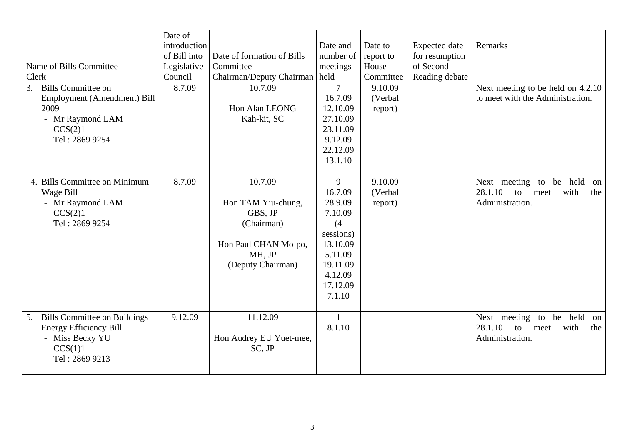|                                           | Date of      |                                 |                |           |                      |                                      |
|-------------------------------------------|--------------|---------------------------------|----------------|-----------|----------------------|--------------------------------------|
|                                           | introduction |                                 | Date and       | Date to   | <b>Expected</b> date | Remarks                              |
|                                           | of Bill into | Date of formation of Bills      | number of      | report to | for resumption       |                                      |
| Name of Bills Committee                   | Legislative  | Committee                       | meetings       | House     | of Second            |                                      |
| Clerk                                     | Council      | Chairman/Deputy Chairman   held |                | Committee | Reading debate       |                                      |
| <b>Bills Committee on</b><br>3.           | 8.7.09       | 10.7.09                         | $\overline{7}$ | 9.10.09   |                      | Next meeting to be held on 4.2.10    |
| Employment (Amendment) Bill               |              |                                 | 16.7.09        | (Verbal   |                      | to meet with the Administration.     |
| 2009                                      |              | Hon Alan LEONG                  | 12.10.09       | report)   |                      |                                      |
| - Mr Raymond LAM                          |              | Kah-kit, SC                     | 27.10.09       |           |                      |                                      |
| CCS(2)1                                   |              |                                 | 23.11.09       |           |                      |                                      |
| Tel: 2869 9254                            |              |                                 | 9.12.09        |           |                      |                                      |
|                                           |              |                                 | 22.12.09       |           |                      |                                      |
|                                           |              |                                 | 13.1.10        |           |                      |                                      |
|                                           |              |                                 |                |           |                      |                                      |
| 4. Bills Committee on Minimum             | 8.7.09       | 10.7.09                         | 9              | 9.10.09   |                      | Next meeting to<br>be held<br>on     |
| Wage Bill                                 |              |                                 | 16.7.09        | (Verbal   |                      | 28.1.10<br>with<br>to<br>the<br>meet |
| - Mr Raymond LAM                          |              | Hon TAM Yiu-chung,              | 28.9.09        | report)   |                      | Administration.                      |
| CCS(2)1                                   |              | GBS, JP                         | 7.10.09        |           |                      |                                      |
| Tel: 2869 9254                            |              | (Chairman)                      | (4)            |           |                      |                                      |
|                                           |              |                                 | sessions)      |           |                      |                                      |
|                                           |              | Hon Paul CHAN Mo-po,            | 13.10.09       |           |                      |                                      |
|                                           |              | MH, JP                          | 5.11.09        |           |                      |                                      |
|                                           |              | (Deputy Chairman)               | 19.11.09       |           |                      |                                      |
|                                           |              |                                 | 4.12.09        |           |                      |                                      |
|                                           |              |                                 | 17.12.09       |           |                      |                                      |
|                                           |              |                                 | 7.1.10         |           |                      |                                      |
|                                           |              |                                 |                |           |                      |                                      |
| <b>Bills Committee on Buildings</b><br>5. | 9.12.09      | 11.12.09                        | $\mathbf{1}$   |           |                      | be held<br>Next meeting to<br>on     |
| <b>Energy Efficiency Bill</b>             |              |                                 | 8.1.10         |           |                      | 28.1.10<br>with<br>to<br>the<br>meet |
| - Miss Becky YU                           |              | Hon Audrey EU Yuet-mee,         |                |           |                      | Administration.                      |
| CCS(1)1                                   |              | SC, JP                          |                |           |                      |                                      |
| Tel: 2869 9213                            |              |                                 |                |           |                      |                                      |
|                                           |              |                                 |                |           |                      |                                      |
|                                           |              |                                 |                |           |                      |                                      |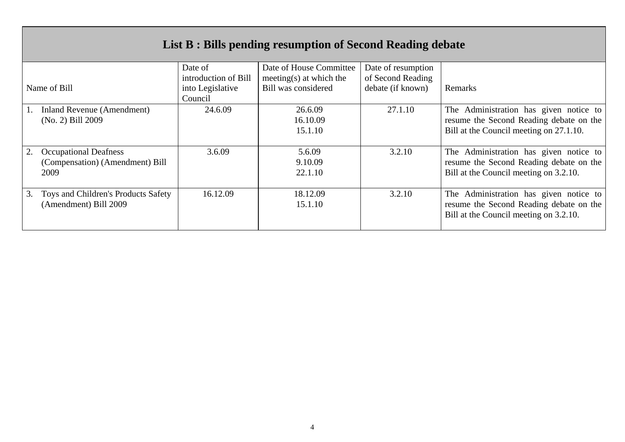| List B : Bills pending resumption of Second Reading debate              |                                                                |                                                                           |                                                              |                                                                                                                              |  |  |  |
|-------------------------------------------------------------------------|----------------------------------------------------------------|---------------------------------------------------------------------------|--------------------------------------------------------------|------------------------------------------------------------------------------------------------------------------------------|--|--|--|
| Name of Bill                                                            | Date of<br>introduction of Bill<br>into Legislative<br>Council | Date of House Committee<br>meeting(s) at which the<br>Bill was considered | Date of resumption<br>of Second Reading<br>debate (if known) | Remarks                                                                                                                      |  |  |  |
| Inland Revenue (Amendment)<br>(No. 2) Bill 2009                         | 24.6.09                                                        | 26.6.09<br>16.10.09<br>15.1.10                                            | 27.1.10                                                      | The Administration has given notice to<br>resume the Second Reading debate on the<br>Bill at the Council meeting on 27.1.10. |  |  |  |
| <b>Occupational Deafness</b><br>(Compensation) (Amendment) Bill<br>2009 | 3.6.09                                                         | 5.6.09<br>9.10.09<br>22.1.10                                              | 3.2.10                                                       | The Administration has given notice to<br>resume the Second Reading debate on the<br>Bill at the Council meeting on 3.2.10.  |  |  |  |
| 3.<br>Toys and Children's Products Safety<br>(Amendment) Bill 2009      | 16.12.09                                                       | 18.12.09<br>15.1.10                                                       | 3.2.10                                                       | The Administration has given notice to<br>resume the Second Reading debate on the<br>Bill at the Council meeting on 3.2.10.  |  |  |  |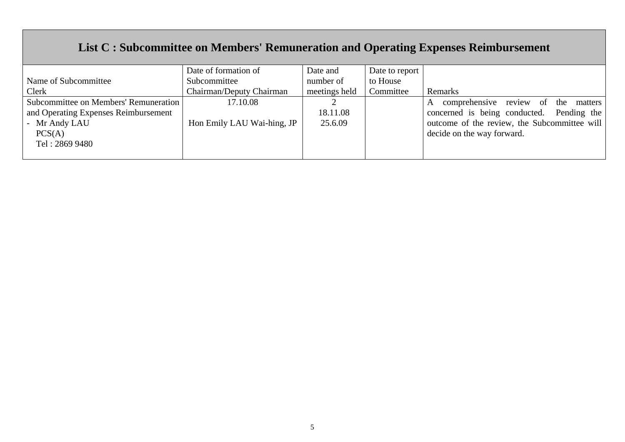## **List C : Subcommittee on Members' Remuneration and Operating Expenses Reimbursement**

|                                       | Date of formation of       | Date and      | Date to report |                                                |
|---------------------------------------|----------------------------|---------------|----------------|------------------------------------------------|
| Name of Subcommittee                  | Subcommittee               | number of     | to House       |                                                |
| Clerk                                 | Chairman/Deputy Chairman   | meetings held | Committee      | Remarks                                        |
| Subcommittee on Members' Remuneration | 17.10.08                   |               |                | comprehensive review of<br>the<br>matters<br>A |
| and Operating Expenses Reimbursement  |                            | 18.11.08      |                | concerned is being conducted. Pending the      |
| - Mr Andy LAU                         | Hon Emily LAU Wai-hing, JP | 25.6.09       |                | outcome of the review, the Subcommittee will   |
| PCS(A)                                |                            |               |                | decide on the way forward.                     |
| Tel: 2869 9480                        |                            |               |                |                                                |
|                                       |                            |               |                |                                                |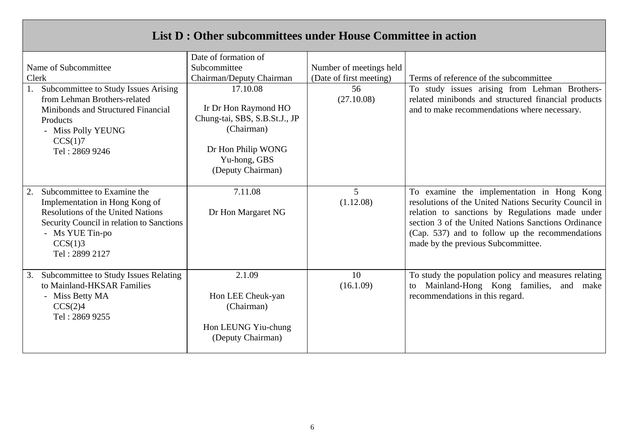## **List D : Other subcommittees under House Committee in action**

|       |                                                                                                                                                                                                        | Date of formation of                                                                                      |                         |                                                                                                                                                                                                                                                                                                        |  |
|-------|--------------------------------------------------------------------------------------------------------------------------------------------------------------------------------------------------------|-----------------------------------------------------------------------------------------------------------|-------------------------|--------------------------------------------------------------------------------------------------------------------------------------------------------------------------------------------------------------------------------------------------------------------------------------------------------|--|
|       | Name of Subcommittee                                                                                                                                                                                   | Subcommittee                                                                                              | Number of meetings held |                                                                                                                                                                                                                                                                                                        |  |
| Clerk |                                                                                                                                                                                                        | Chairman/Deputy Chairman                                                                                  | (Date of first meeting) | Terms of reference of the subcommittee                                                                                                                                                                                                                                                                 |  |
|       | Subcommittee to Study Issues Arising                                                                                                                                                                   | 17.10.08                                                                                                  | 56                      | To study issues arising from Lehman Brothers-                                                                                                                                                                                                                                                          |  |
|       | from Lehman Brothers-related<br>Minibonds and Structured Financial<br>Products<br>- Miss Polly YEUNG<br>CCS(1)7<br>Tel: 2869 9246                                                                      | Ir Dr Hon Raymond HO<br>Chung-tai, SBS, S.B.St.J., JP<br>(Chairman)<br>Dr Hon Philip WONG<br>Yu-hong, GBS | (27.10.08)              | related minibonds and structured financial products<br>and to make recommendations where necessary.                                                                                                                                                                                                    |  |
|       |                                                                                                                                                                                                        | (Deputy Chairman)                                                                                         |                         |                                                                                                                                                                                                                                                                                                        |  |
| 2.    | Subcommittee to Examine the<br>Implementation in Hong Kong of<br><b>Resolutions of the United Nations</b><br>Security Council in relation to Sanctions<br>- Ms YUE Tin-po<br>CCS(1)3<br>Tel: 2899 2127 | 7.11.08<br>Dr Hon Margaret NG                                                                             | 5<br>(1.12.08)          | To examine the implementation in Hong Kong<br>resolutions of the United Nations Security Council in<br>relation to sanctions by Regulations made under<br>section 3 of the United Nations Sanctions Ordinance<br>(Cap. 537) and to follow up the recommendations<br>made by the previous Subcommittee. |  |
| 3.    | Subcommittee to Study Issues Relating<br>to Mainland-HKSAR Families<br>- Miss Betty MA<br>CCS(2)4<br>Tel: 2869 9255                                                                                    | 2.1.09<br>Hon LEE Cheuk-yan<br>(Chairman)<br>Hon LEUNG Yiu-chung<br>(Deputy Chairman)                     | 10<br>(16.1.09)         | To study the population policy and measures relating<br>Mainland-Hong Kong families,<br>and<br>make<br>to<br>recommendations in this regard.                                                                                                                                                           |  |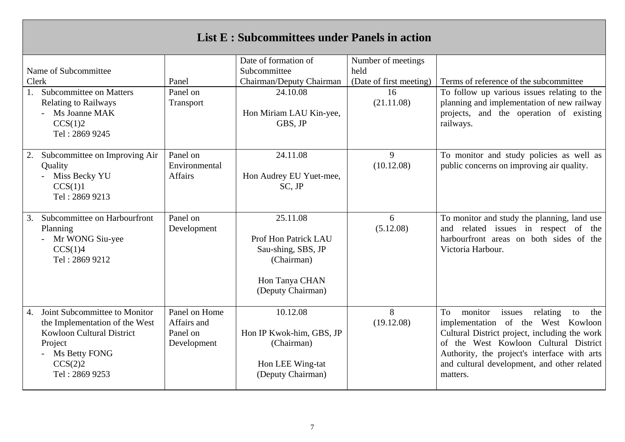| <b>List E: Subcommittees under Panels in action</b>                                                                                                                |                                                         |                                                                                                             |                         |                                                                                                                                                                                                                                                                                             |  |  |  |
|--------------------------------------------------------------------------------------------------------------------------------------------------------------------|---------------------------------------------------------|-------------------------------------------------------------------------------------------------------------|-------------------------|---------------------------------------------------------------------------------------------------------------------------------------------------------------------------------------------------------------------------------------------------------------------------------------------|--|--|--|
|                                                                                                                                                                    |                                                         | Date of formation of                                                                                        | Number of meetings      |                                                                                                                                                                                                                                                                                             |  |  |  |
| Name of Subcommittee                                                                                                                                               |                                                         | Subcommittee                                                                                                | held                    |                                                                                                                                                                                                                                                                                             |  |  |  |
| Clerk                                                                                                                                                              | Panel                                                   | Chairman/Deputy Chairman                                                                                    | (Date of first meeting) | Terms of reference of the subcommittee                                                                                                                                                                                                                                                      |  |  |  |
| <b>Subcommittee on Matters</b><br>1.<br><b>Relating to Railways</b><br>- Ms Joanne MAK<br>CCS(1)2<br>Tel: 2869 9245                                                | Panel on<br>Transport                                   | 24.10.08<br>Hon Miriam LAU Kin-yee,<br>GBS, JP                                                              | 16<br>(21.11.08)        | To follow up various issues relating to the<br>planning and implementation of new railway<br>projects, and the operation of existing<br>railways.                                                                                                                                           |  |  |  |
| Subcommittee on Improving Air<br>2.<br>Quality<br>Miss Becky YU<br>CCS(1)1<br>Tel: 2869 9213                                                                       | Panel on<br>Environmental<br>Affairs                    | 24.11.08<br>Hon Audrey EU Yuet-mee,<br>SC, JP                                                               | 9<br>(10.12.08)         | To monitor and study policies as well as<br>public concerns on improving air quality.                                                                                                                                                                                                       |  |  |  |
| Subcommittee on Harbourfront<br>3.<br>Planning<br>Mr WONG Siu-yee<br>CCS(1)4<br>Tel: 2869 9212                                                                     | Panel on<br>Development                                 | 25.11.08<br>Prof Hon Patrick LAU<br>Sau-shing, SBS, JP<br>(Chairman)<br>Hon Tanya CHAN<br>(Deputy Chairman) | 6<br>(5.12.08)          | To monitor and study the planning, land use<br>and related issues in respect of the<br>harbourfront areas on both sides of the<br>Victoria Harbour.                                                                                                                                         |  |  |  |
| Joint Subcommittee to Monitor<br>4.<br>the Implementation of the West<br><b>Kowloon Cultural District</b><br>Project<br>Ms Betty FONG<br>CCS(2)2<br>Tel: 2869 9253 | Panel on Home<br>Affairs and<br>Panel on<br>Development | 10.12.08<br>Hon IP Kwok-him, GBS, JP<br>(Chairman)<br>Hon LEE Wing-tat<br>(Deputy Chairman)                 | 8<br>(19.12.08)         | To<br>monitor<br>relating<br>issues<br>the<br>to<br>implementation of the West Kowloon<br>Cultural District project, including the work<br>of the West Kowloon Cultural District<br>Authority, the project's interface with arts<br>and cultural development, and other related<br>matters. |  |  |  |